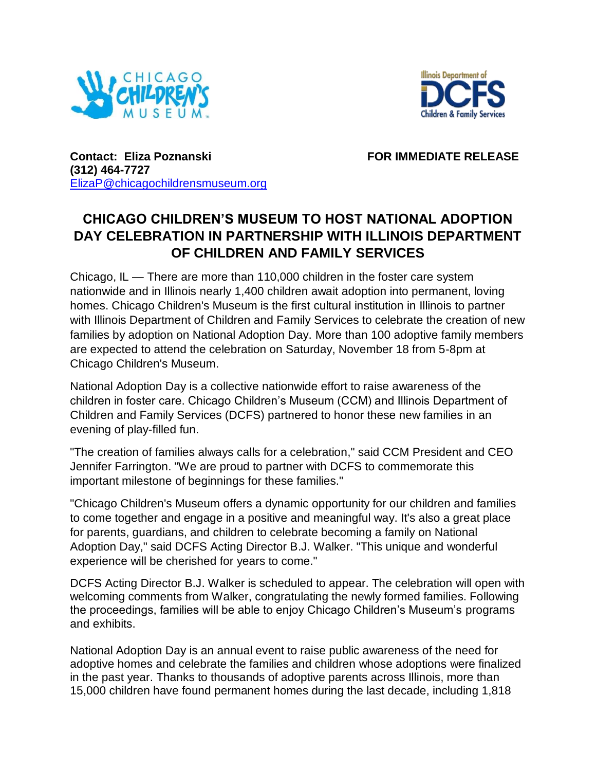



**Contact: Eliza Poznanski** FOR IMMEDIATE RELEASE **(312) 464-7727**  [ElizaP@chicagochildrensmuseum.org](mailto:TwaniaB@chicagochildrensmuseum.org)

## **CHICAGO CHILDREN'S MUSEUM TO HOST NATIONAL ADOPTION DAY CELEBRATION IN PARTNERSHIP WITH ILLINOIS DEPARTMENT OF CHILDREN AND FAMILY SERVICES**

Chicago, IL — There are more than 110,000 children in the foster care system nationwide and in Illinois nearly 1,400 children await adoption into permanent, loving homes. Chicago Children's Museum is the first cultural institution in Illinois to partner with Illinois Department of Children and Family Services to celebrate the creation of new families by adoption on National Adoption Day. More than 100 adoptive family members are expected to attend the celebration on Saturday, November 18 from 5-8pm at Chicago Children's Museum.

National Adoption Day is a collective nationwide effort to raise awareness of the children in foster care. Chicago Children's Museum (CCM) and Illinois Department of Children and Family Services (DCFS) partnered to honor these new families in an evening of play-filled fun.

"The creation of families always calls for a celebration," said CCM President and CEO Jennifer Farrington. "We are proud to partner with DCFS to commemorate this important milestone of beginnings for these families."

"Chicago Children's Museum offers a dynamic opportunity for our children and families to come together and engage in a positive and meaningful way. It's also a great place for parents, guardians, and children to celebrate becoming a family on National Adoption Day," said DCFS Acting Director B.J. Walker. "This unique and wonderful experience will be cherished for years to come."

DCFS Acting Director B.J. Walker is scheduled to appear. The celebration will open with welcoming comments from Walker, congratulating the newly formed families. Following the proceedings, families will be able to enjoy Chicago Children's Museum's programs and exhibits.

National Adoption Day is an annual event to raise public awareness of the need for adoptive homes and celebrate the families and children whose adoptions were finalized in the past year. Thanks to thousands of adoptive parents across Illinois, more than 15,000 children have found permanent homes during the last decade, including 1,818